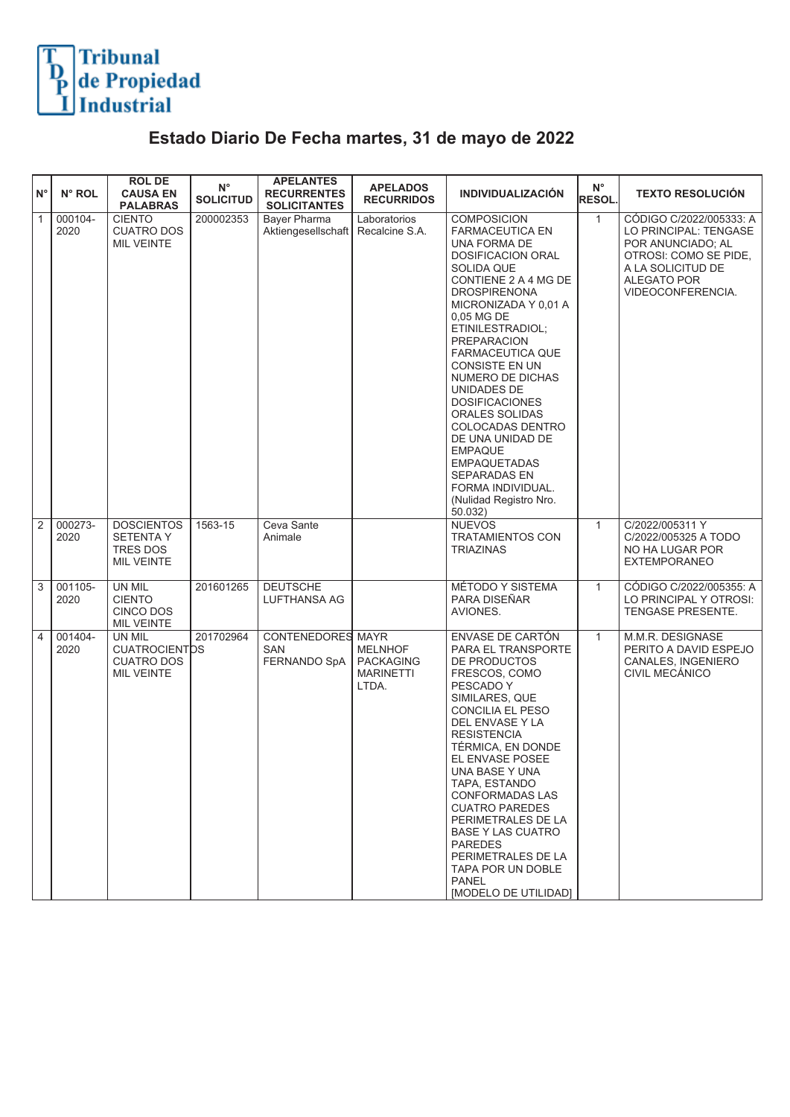

## **Estado Diario De Fecha martes, 31 de mayo de 2022**

| $N^{\circ}$    | N° ROL          | <b>ROL DE</b><br><b>CAUSA EN</b><br><b>PALABRAS</b>                    | $N^{\circ}$<br><b>SOLICITUD</b> | <b>APELANTES</b><br><b>RECURRENTES</b><br><b>SOLICITANTES</b> | <b>APELADOS</b><br><b>RECURRIDOS</b>                            | <b>INDIVIDUALIZACIÓN</b>                                                                                                                                                                                                                                                                                                                                                                                                                                                                                                                  | $N^{\circ}$<br><b>RESOL</b> | <b>TEXTO RESOLUCIÓN</b>                                                                                                                                        |
|----------------|-----------------|------------------------------------------------------------------------|---------------------------------|---------------------------------------------------------------|-----------------------------------------------------------------|-------------------------------------------------------------------------------------------------------------------------------------------------------------------------------------------------------------------------------------------------------------------------------------------------------------------------------------------------------------------------------------------------------------------------------------------------------------------------------------------------------------------------------------------|-----------------------------|----------------------------------------------------------------------------------------------------------------------------------------------------------------|
| $\mathbf{1}$   | 000104-<br>2020 | <b>CIENTO</b><br><b>CUATRO DOS</b><br><b>MIL VEINTE</b>                | 200002353                       | Bayer Pharma<br>Aktiengesellschaft                            | Laboratorios<br>Recalcine S.A.                                  | <b>COMPOSICION</b><br><b>FARMACEUTICA EN</b><br>UNA FORMA DE<br><b>DOSIFICACION ORAL</b><br><b>SOLIDA QUE</b><br>CONTIENE 2 A 4 MG DE<br><b>DROSPIRENONA</b><br>MICRONIZADA Y 0,01 A<br>0.05 MG DE<br>ETINILESTRADIOL;<br><b>PREPARACION</b><br><b>FARMACEUTICA QUE</b><br><b>CONSISTE EN UN</b><br>NUMERO DE DICHAS<br>UNIDADES DE<br><b>DOSIFICACIONES</b><br>ORALES SOLIDAS<br>COLOCADAS DENTRO<br>DE UNA UNIDAD DE<br><b>EMPAQUE</b><br><b>EMPAQUETADAS</b><br>SEPARADAS EN<br>FORMA INDIVIDUAL.<br>(Nulidad Registro Nro.<br>50.032) | $\mathbf{1}$                | CÓDIGO C/2022/005333: A<br>LO PRINCIPAL: TENGASE<br>POR ANUNCIADO; AL<br>OTROSI: COMO SE PIDE,<br>A LA SOLICITUD DE<br><b>ALEGATO POR</b><br>VIDEOCONFERENCIA. |
| 2              | 000273-<br>2020 | <b>DOSCIENTOS</b><br><b>SETENTA Y</b><br>TRES DOS<br><b>MIL VEINTE</b> | 1563-15                         | Ceva Sante<br>Animale                                         |                                                                 | <b>NUEVOS</b><br><b>TRATAMIENTOS CON</b><br><b>TRIAZINAS</b>                                                                                                                                                                                                                                                                                                                                                                                                                                                                              | $\mathbf{1}$                | C/2022/005311 Y<br>C/2022/005325 A TODO<br>NO HA LUGAR POR<br><b>EXTEMPORANEO</b>                                                                              |
| 3              | 001105-<br>2020 | UN MIL<br><b>CIENTO</b><br>CINCO DOS<br><b>MIL VEINTE</b>              | 201601265                       | <b>DEUTSCHE</b><br>LUFTHANSA AG                               |                                                                 | MÉTODO Y SISTEMA<br>PARA DISEÑAR<br>AVIONES.                                                                                                                                                                                                                                                                                                                                                                                                                                                                                              | $\mathbf{1}$                | CÓDIGO C/2022/005355: A<br>LO PRINCIPAL Y OTROSI:<br>TENGASE PRESENTE.                                                                                         |
| $\overline{4}$ | 001404-<br>2020 | UN MIL<br><b>CUATROCIENTDS</b><br><b>CUATRO DOS</b><br>MIL VEINTE      | 201702964                       | CONTENEDORES MAYR<br>SAN<br>FERNANDO SpA                      | <b>MELNHOF</b><br><b>PACKAGING</b><br><b>MARINETTI</b><br>LTDA. | ENVASE DE CARTÓN<br>PARA EL TRANSPORTE<br>DE PRODUCTOS<br>FRESCOS, COMO<br>PESCADO Y<br>SIMILARES, QUE<br>CONCILIA EL PESO<br>DEL ENVASE Y LA<br><b>RESISTENCIA</b><br>TÉRMICA, EN DONDE<br>EL ENVASE POSEE<br>UNA BASE Y UNA<br>TAPA, ESTANDO<br><b>CONFORMADAS LAS</b><br><b>CUATRO PAREDES</b><br>PERIMETRALES DE LA<br><b>BASE Y LAS CUATRO</b><br><b>PAREDES</b><br>PERIMETRALES DE LA<br>TAPA POR UN DOBLE<br><b>PANEL</b><br>[MODELO DE UTILIDAD]                                                                                  | $\mathbf{1}$                | M.M.R. DESIGNASE<br>PERITO A DAVID ESPEJO<br>CANALES, INGENIERO<br>CIVIL MECÁNICO                                                                              |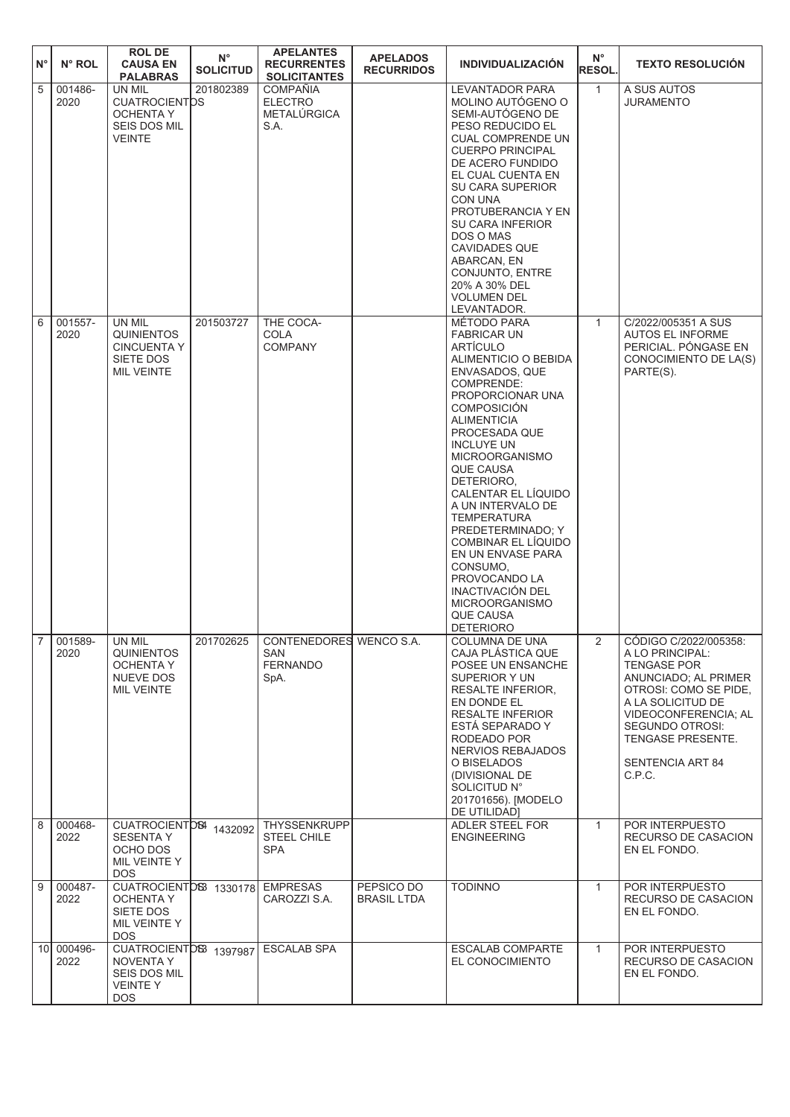| $N^{\circ}$ | N° ROL                 | <b>ROL DE</b><br><b>CAUSA EN</b><br><b>PALABRAS</b>                                        | $N^{\circ}$<br><b>SOLICITUD</b> | <b>APELANTES</b><br><b>RECURRENTES</b><br><b>SOLICITANTES</b>    | <b>APELADOS</b><br><b>RECURRIDOS</b> | <b>INDIVIDUALIZACIÓN</b>                                                                                                                                                                                                                                                                                                                                                                                                                                                                                                    | $N^{\circ}$<br><b>RESOL.</b> | <b>TEXTO RESOLUCION</b>                                                                                                                                                                                                                          |
|-------------|------------------------|--------------------------------------------------------------------------------------------|---------------------------------|------------------------------------------------------------------|--------------------------------------|-----------------------------------------------------------------------------------------------------------------------------------------------------------------------------------------------------------------------------------------------------------------------------------------------------------------------------------------------------------------------------------------------------------------------------------------------------------------------------------------------------------------------------|------------------------------|--------------------------------------------------------------------------------------------------------------------------------------------------------------------------------------------------------------------------------------------------|
| 5           | 001486-<br>2020        | UN MIL<br><b>CUATROCIENTDS</b><br><b>OCHENTA Y</b><br><b>SEIS DOS MIL</b><br><b>VEINTE</b> | 201802389                       | <b>COMPAÑIA</b><br><b>ELECTRO</b><br><b>METALURGICA</b><br>S.A.  |                                      | <b>LEVANTADOR PARA</b><br>MOLINO AUTÓGENO O<br>SEMI-AUTÓGENO DE<br>PESO REDUCIDO EL<br><b>CUAL COMPRENDE UN</b><br><b>CUERPO PRINCIPAL</b><br>DE ACERO FUNDIDO<br>EL CUAL CUENTA EN<br><b>SU CARA SUPERIOR</b><br>CON UNA<br>PROTUBERANCIA Y EN<br><b>SU CARA INFERIOR</b><br>DOS O MAS<br><b>CAVIDADES QUE</b><br>ABARCAN, EN<br>CONJUNTO, ENTRE<br>20% A 30% DEL<br><b>VOLUMEN DEL</b><br>LEVANTADOR.                                                                                                                     | $\mathbf{1}$                 | A SUS AUTOS<br><b>JURAMENTO</b>                                                                                                                                                                                                                  |
| 6           | 001557-<br>2020        | UN MIL<br><b>QUINIENTOS</b><br><b>CINCUENTA Y</b><br>SIETE DOS<br><b>MIL VEINTE</b>        | 201503727                       | THE COCA-<br>COLA<br><b>COMPANY</b>                              |                                      | MÉTODO PARA<br><b>FABRICAR UN</b><br>ARTÍCULO<br>ALIMENTICIO O BEBIDA<br>ENVASADOS, QUE<br>COMPRENDE:<br>PROPORCIONAR UNA<br><b>COMPOSICIÓN</b><br><b>ALIMENTICIA</b><br>PROCESADA QUE<br><b>INCLUYE UN</b><br><b>MICROORGANISMO</b><br><b>QUE CAUSA</b><br>DETERIORO,<br>CALENTAR EL LÍQUIDO<br>A UN INTERVALO DE<br><b>TEMPERATURA</b><br>PREDETERMINADO; Y<br>COMBINAR EL LÍQUIDO<br>EN UN ENVASE PARA<br>CONSUMO,<br>PROVOCANDO LA<br>INACTIVACIÓN DEL<br><b>MICROORGANISMO</b><br><b>QUE CAUSA</b><br><b>DETERIORO</b> | $\mathbf{1}$                 | C/2022/005351 A SUS<br>AUTOS EL INFORME<br>PERICIAL. PÓNGASE EN<br>CONOCIMIENTO DE LA(S)<br>PARTE(S).                                                                                                                                            |
|             | $7   001589 -$<br>2020 | UN MIL<br>QUINIENTOS<br><b>OCHENTA Y</b><br><b>NUEVE DOS</b><br>MIL VEINTE                 | 201702625                       | CONTENEDORES WENCO S.A.<br><b>SAN</b><br><b>FERNANDO</b><br>SpA. |                                      | <b>COLUMNA DE UNA</b><br>CAJA PLÁSTICA QUE<br>POSEE UN ENSANCHE<br>SUPERIOR Y UN<br><b>RESALTE INFERIOR.</b><br>EN DONDE EL<br><b>RESALTE INFERIOR</b><br>ESTA SEPARADO Y<br>RODEADO POR<br>NERVIOS REBAJADOS<br>O BISELADOS<br>(DIVISIONAL DE<br>SOLICITUD N°<br>201701656). [MODELO<br>DE UTILIDAD]                                                                                                                                                                                                                       |                              | CÓDIGO C/2022/005358:<br>A LO PRINCIPAL:<br><b>TENGASE POR</b><br>ANUNCIADO; AL PRIMER<br>OTROSI: COMO SE PIDE,<br>A LA SOLICITUD DE<br>VIDEOCONFERENCIA; AL<br><b>SEGUNDO OTROSI:</b><br><b>TENGASE PRESENTE.</b><br>SENTENCIA ART 84<br>C.P.C. |
| 8           | 000468-<br>2022        | CUATROCIENTD84 1432092<br><b>SESENTA Y</b><br>OCHO DOS<br>MIL VEINTE Y<br>DOS.             |                                 | <b>THYSSENKRUPP</b><br>STEEL CHILE<br><b>SPA</b>                 |                                      | ADLER STEEL FOR<br><b>ENGINEERING</b>                                                                                                                                                                                                                                                                                                                                                                                                                                                                                       | $\mathbf{1}$                 | POR INTERPUESTO<br>RECURSO DE CASACION<br>EN EL FONDO.                                                                                                                                                                                           |
| 9           | 000487-<br>2022        | CUATROCIENTOS 1330178 EMPRESAS<br>OCHENTA Y<br>SIETE DOS<br>MIL VEINTE Y<br>DOS.           |                                 | CAROZZI S.A.                                                     | PEPSICO DO<br><b>BRASIL LTDA</b>     | <b>TODINNO</b>                                                                                                                                                                                                                                                                                                                                                                                                                                                                                                              | $\mathbf{1}$                 | POR INTERPUESTO<br>RECURSO DE CASACION<br>EN EL FONDO.                                                                                                                                                                                           |
|             | 10 000496-<br>2022     | CUATROCIENTOS 1397987<br>NOVENTA Y<br>SEIS DOS MIL<br>VEINTE Y<br>DOS.                     |                                 | <b>ESCALAB SPA</b>                                               |                                      | <b>ESCALAB COMPARTE</b><br>EL CONOCIMIENTO                                                                                                                                                                                                                                                                                                                                                                                                                                                                                  | $\mathbf{1}$                 | POR INTERPUESTO<br>RECURSO DE CASACION<br>EN EL FONDO.                                                                                                                                                                                           |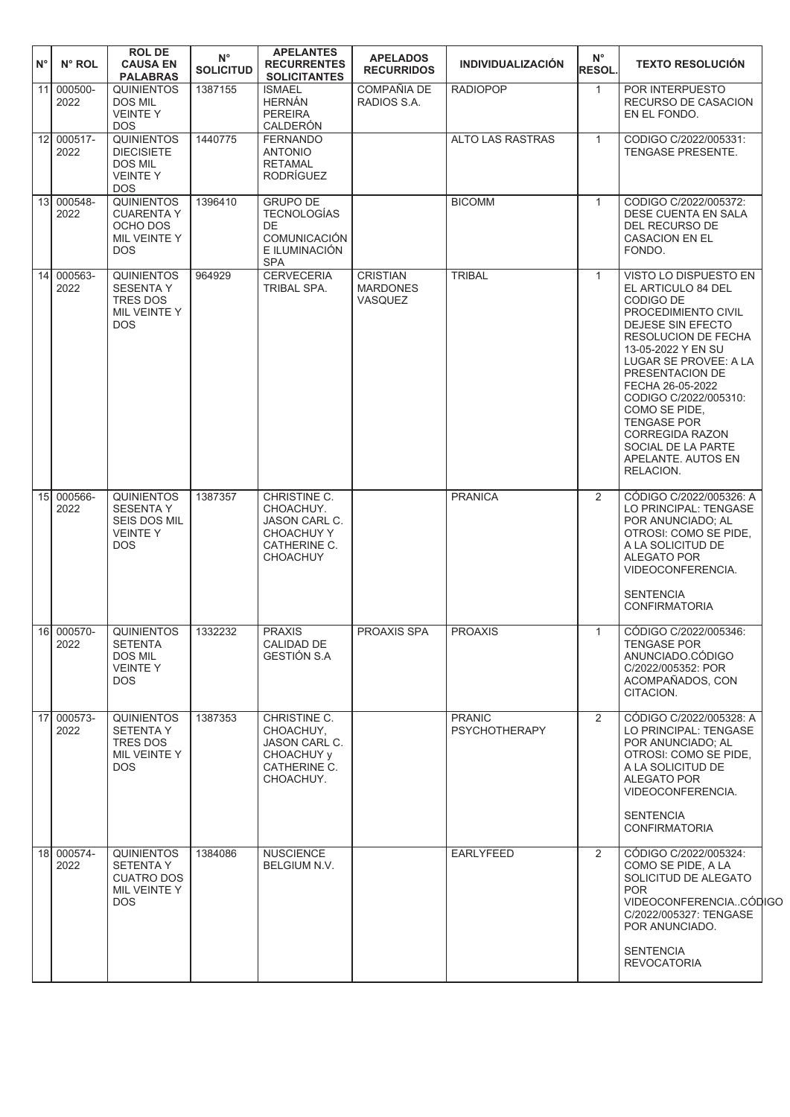| $N^{\circ}$ | N° ROL             | <b>ROL DE</b><br><b>CAUSA EN</b><br><b>PALABRAS</b>                                      | $N^{\circ}$<br><b>SOLICITUD</b> | <b>APELANTES</b><br><b>RECURRENTES</b><br><b>SOLICITANTES</b>                                            | <b>APELADOS</b><br><b>RECURRIDOS</b>                 | <b>INDIVIDUALIZACIÓN</b>              | $N^{\circ}$<br><b>RESOL.</b> | <b>TEXTO RESOLUCIÓN</b>                                                                                                                                                                                                                                                                                                                                                     |  |
|-------------|--------------------|------------------------------------------------------------------------------------------|---------------------------------|----------------------------------------------------------------------------------------------------------|------------------------------------------------------|---------------------------------------|------------------------------|-----------------------------------------------------------------------------------------------------------------------------------------------------------------------------------------------------------------------------------------------------------------------------------------------------------------------------------------------------------------------------|--|
|             | 11 000500-<br>2022 | <b>QUINIENTOS</b><br>DOS MIL<br><b>VEINTEY</b><br><b>DOS</b>                             | 1387155                         | <b>ISMAEL</b><br><b>HERNÁN</b><br><b>PEREIRA</b><br>CALDERÓN                                             | <b>COMPAÑIA DE</b><br>RADIOS S.A.                    | <b>RADIOPOP</b>                       | $\mathbf{1}$                 | POR INTERPUESTO<br>RECURSO DE CASACION<br>EN EL FONDO.                                                                                                                                                                                                                                                                                                                      |  |
|             | 12 000517-<br>2022 | <b>QUINIENTOS</b><br><b>DIECISIETE</b><br><b>DOS MIL</b><br><b>VEINTEY</b><br><b>DOS</b> | 1440775                         | <b>FERNANDO</b><br><b>ANTONIO</b><br><b>RETAMAL</b><br><b>RODRÍGUEZ</b>                                  |                                                      | ALTO LAS RASTRAS                      | $\mathbf{1}$                 | CODIGO C/2022/005331:<br>TENGASE PRESENTE.                                                                                                                                                                                                                                                                                                                                  |  |
|             | 13 000548-<br>2022 | <b>QUINIENTOS</b><br><b>CUARENTA Y</b><br>OCHO DOS<br>MIL VEINTE Y<br><b>DOS</b>         | 1396410                         | <b>GRUPO DE</b><br><b>TECNOLOGÍAS</b><br><b>DE</b><br><b>COMUNICACIÓN</b><br>E ILUMINACIÓN<br><b>SPA</b> |                                                      | <b>BICOMM</b>                         | $\mathbf{1}$                 | CODIGO C/2022/005372:<br>DESE CUENTA EN SALA<br>DEL RECURSO DE<br><b>CASACION EN EL</b><br>FONDO.                                                                                                                                                                                                                                                                           |  |
|             | 14 000563-<br>2022 | <b>QUINIENTOS</b><br><b>SESENTA Y</b><br><b>TRES DOS</b><br>MIL VEINTE Y<br><b>DOS</b>   | 964929                          | <b>CERVECERIA</b><br>TRIBAL SPA.                                                                         | <b>CRISTIAN</b><br><b>MARDONES</b><br><b>VASQUEZ</b> | <b>TRIBAL</b>                         | $\mathbf{1}$                 | VISTO LO DISPUESTO EN<br>EL ARTICULO 84 DEL<br>CODIGO DE<br>PROCEDIMIENTO CIVIL<br><b>DEJESE SIN EFECTO</b><br>RESOLUCION DE FECHA<br>13-05-2022 Y EN SU<br>LUGAR SE PROVEE: A LA<br>PRESENTACION DE<br>FECHA 26-05-2022<br>CODIGO C/2022/005310:<br>COMO SE PIDE.<br><b>TENGASE POR</b><br><b>CORREGIDA RAZON</b><br>SOCIAL DE LA PARTE<br>APELANTE. AUTOS EN<br>RELACION. |  |
|             | 15 000566-<br>2022 | <b>QUINIENTOS</b><br><b>SESENTA Y</b><br>SEIS DOS MIL<br><b>VEINTEY</b><br><b>DOS</b>    | 1387357                         | CHRISTINE C.<br>CHOACHUY.<br>JASON CARL C.<br><b>CHOACHUY Y</b><br>CATHERINE C.<br><b>CHOACHUY</b>       |                                                      | <b>PRANICA</b>                        | 2                            | CÓDIGO C/2022/005326: A<br>LO PRINCIPAL: TENGASE<br>POR ANUNCIADO; AL<br>OTROSI: COMO SE PIDE,<br>A LA SOLICITUD DE<br><b>ALEGATO POR</b><br>VIDEOCONFERENCIA.<br><b>SENTENCIA</b><br><b>CONFIRMATORIA</b>                                                                                                                                                                  |  |
|             | 16 000570-<br>2022 | <b>QUINIENTOS</b><br><b>SETENTA</b><br><b>DOS MIL</b><br><b>VEINTEY</b><br><b>DOS</b>    | 1332232                         | <b>PRAXIS</b><br>CALIDAD DE<br>GESTIÓN S.A                                                               | PROAXIS SPA                                          | <b>PROAXIS</b>                        | $\mathbf{1}$                 | CÓDIGO C/2022/005346:<br><b>TENGASE POR</b><br>ANUNCIADO.CODIGO<br>C/2022/005352: POR<br>ACOMPAÑADOS, CON<br>CITACION.                                                                                                                                                                                                                                                      |  |
|             | 17 000573-<br>2022 | <b>QUINIENTOS</b><br><b>SETENTA Y</b><br>TRES DOS<br>MIL VEINTE Y<br>DOS.                | 1387353                         | CHRISTINE C.<br>CHOACHUY.<br>JASON CARL C.<br>CHOACHUY y<br>CATHERINE C.<br>CHOACHUY.                    |                                                      | <b>PRANIC</b><br><b>PSYCHOTHERAPY</b> | 2                            | CÓDIGO C/2022/005328: A<br>LO PRINCIPAL: TENGASE<br>POR ANUNCIADO; AL<br>OTROSI: COMO SE PIDE,<br>A LA SOLICITUD DE<br>ALEGATO POR<br>VIDEOCONFERENCIA.<br><b>SENTENCIA</b><br><b>CONFIRMATORIA</b>                                                                                                                                                                         |  |
|             | 18 000574-<br>2022 | <b>QUINIENTOS</b><br><b>SETENTA Y</b><br><b>CUATRO DOS</b><br>MIL VEINTE Y<br>DOS.       | 1384086                         | <b>NUSCIENCE</b><br>BELGIUM N.V.                                                                         |                                                      | <b>EARLYFEED</b>                      | 2                            | CÓDIGO C/2022/005324:<br>COMO SE PIDE, A LA<br>SOLICITUD DE ALEGATO<br><b>POR</b><br>VIDEOCONFERENCIACODIGC<br>C/2022/005327: TENGASE<br>POR ANUNCIADO.<br><b>SENTENCIA</b><br><b>REVOCATORIA</b>                                                                                                                                                                           |  |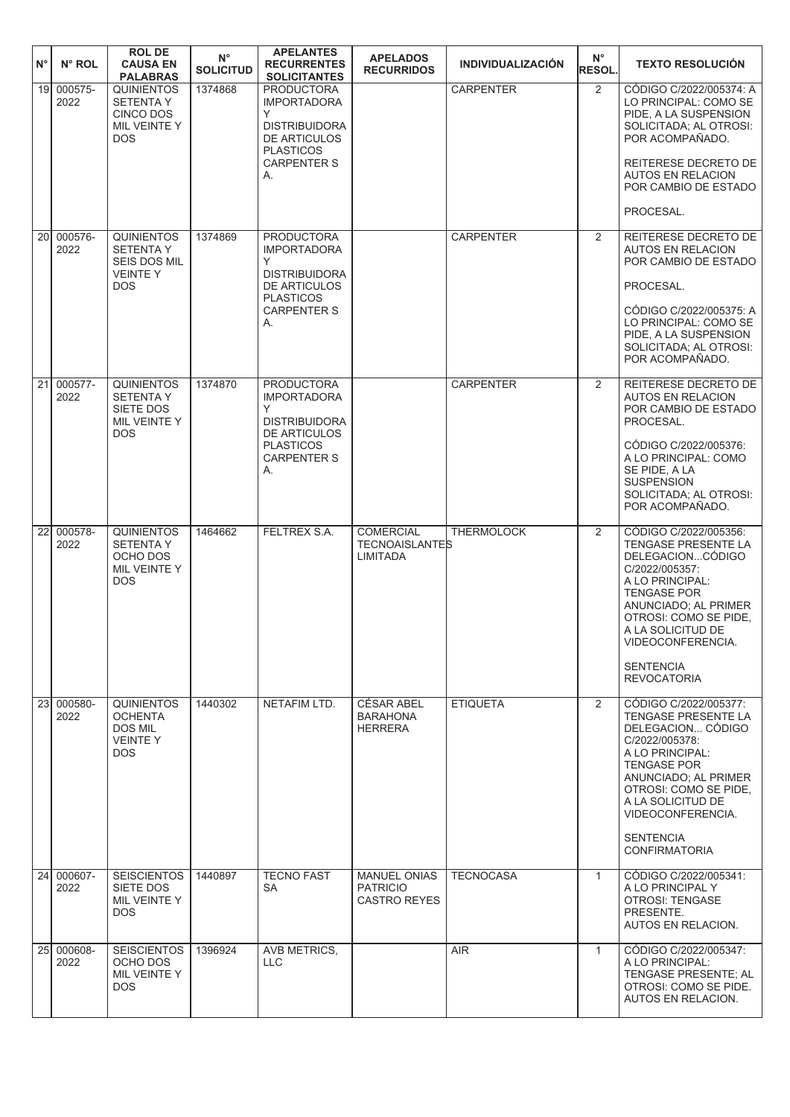| $N^{\circ}$     | N° ROL             | <b>ROL DE</b><br><b>CAUSA EN</b><br><b>PALABRAS</b>                              | $N^{\circ}$<br><b>SOLICITUD</b> | <b>APELANTES</b><br><b>RECURRENTES</b><br><b>SOLICITANTES</b>                                                                        | <b>APELADOS</b><br><b>RECURRIDOS</b>                          | <b>INDIVIDUALIZACIÓN</b> | $N^{\circ}$<br><b>RESOL.</b> | <b>TEXTO RESOLUCIÓN</b>                                                                                                                                                                                                                                             |
|-----------------|--------------------|----------------------------------------------------------------------------------|---------------------------------|--------------------------------------------------------------------------------------------------------------------------------------|---------------------------------------------------------------|--------------------------|------------------------------|---------------------------------------------------------------------------------------------------------------------------------------------------------------------------------------------------------------------------------------------------------------------|
| 19 <sup>1</sup> | 000575-<br>2022    | <b>QUINIENTOS</b><br><b>SETENTA Y</b><br>CINCO DOS<br>MIL VEINTE Y<br><b>DOS</b> | 1374868                         | <b>PRODUCTORA</b><br><b>IMPORTADORA</b><br>Y<br><b>DISTRIBUIDORA</b><br>DE ARTICULOS<br><b>PLASTICOS</b><br><b>CARPENTER S</b><br>А. |                                                               | <b>CARPENTER</b>         | 2                            | CÓDIGO C/2022/005374: A<br>LO PRINCIPAL: COMO SE<br>PIDE, A LA SUSPENSION<br>SOLICITADA; AL OTROSI:<br>POR ACOMPAÑADO.<br>REITERESE DECRETO DE<br><b>AUTOS EN RELACION</b><br>POR CAMBIO DE ESTADO<br>PROCESAL.                                                     |
|                 | 20 000576-         | <b>QUINIENTOS</b>                                                                | 1374869                         | <b>PRODUCTORA</b>                                                                                                                    |                                                               | <b>CARPENTER</b>         | 2                            | REITERESE DECRETO DE                                                                                                                                                                                                                                                |
|                 | 2022               | <b>SETENTAY</b><br>SEIS DOS MIL<br><b>VEINTEY</b><br><b>DOS</b>                  |                                 | <b>IMPORTADORA</b><br>Y<br><b>DISTRIBUIDORA</b><br>DE ARTICULOS<br><b>PLASTICOS</b><br><b>CARPENTER S</b><br>А.                      |                                                               |                          |                              | <b>AUTOS EN RELACION</b><br>POR CAMBIO DE ESTADO<br>PROCESAL.<br>CÓDIGO C/2022/005375: A<br>LO PRINCIPAL: COMO SE<br>PIDE, A LA SUSPENSION<br>SOLICITADA; AL OTROSI:<br>POR ACOMPAÑADO.                                                                             |
| $\overline{21}$ | 000577-<br>2022    | <b>QUINIENTOS</b><br><b>SETENTAY</b><br>SIETE DOS<br>MIL VEINTE Y<br><b>DOS</b>  | 1374870                         | <b>PRODUCTORA</b><br><b>IMPORTADORA</b><br>Y<br><b>DISTRIBUIDORA</b><br>DE ARTICULOS<br><b>PLASTICOS</b><br><b>CARPENTER S</b><br>А. |                                                               | <b>CARPENTER</b>         | 2                            | REITERESE DECRETO DE<br><b>AUTOS EN RELACION</b><br>POR CAMBIO DE ESTADO<br>PROCESAL.<br>CÓDIGO C/2022/005376:<br>A LO PRINCIPAL: COMO<br>SE PIDE, A LA<br><b>SUSPENSION</b><br>SOLICITADA; AL OTROSI:<br>POR ACOMPAÑADO.                                           |
| 22              | 000578-<br>2022    | <b>QUINIENTOS</b><br><b>SETENTA Y</b><br>OCHO DOS<br>MIL VEINTE Y<br><b>DOS</b>  | 1464662                         | FELTREX S.A.                                                                                                                         | <b>COMERCIAL</b><br><b>TECNOAISLANTES</b><br><b>LIMITADA</b>  | <b>THERMOLOCK</b>        | 2                            | CÓDIGO C/2022/005356:<br>TENGASE PRESENTE LA<br>DELEGACIONCODIGO<br>C/2022/005357:<br>A LO PRINCIPAL:<br><b>TENGASE POR</b><br>ANUNCIADO; AL PRIMER<br>OTROSI: COMO SE PIDE,<br>A LA SOLICITUD DE<br>VIDEOCONFERENCIA.<br><b>SENTENCIA</b><br><b>REVOCATORIA</b>    |
|                 | 23 000580-<br>2022 | <b>QUINIENTOS</b><br><b>OCHENTA</b><br><b>DOS MIL</b><br><b>VEINTEY</b><br>DOS.  | 1440302                         | NETAFIM LTD.                                                                                                                         | <b>CÉSAR ABEL</b><br><b>BARAHONA</b><br><b>HERRERA</b>        | <b>ETIQUETA</b>          | 2                            | CÓDIGO C/2022/005377:<br>TENGASE PRESENTE LA<br>DELEGACION CÓDIGO<br>C/2022/005378:<br>A LO PRINCIPAL:<br><b>TENGASE POR</b><br>ANUNCIADO; AL PRIMER<br>OTROSI: COMO SE PIDE,<br>A LA SOLICITUD DE<br>VIDEOCONFERENCIA.<br><b>SENTENCIA</b><br><b>CONFIRMATORIA</b> |
| 24              | 000607-<br>2022    | <b>SEISCIENTOS</b><br>SIETE DOS<br>MIL VEINTE Y<br><b>DOS</b>                    | 1440897                         | <b>TECNO FAST</b><br><b>SA</b>                                                                                                       | <b>MANUEL ONIAS</b><br><b>PATRICIO</b><br><b>CASTRO REYES</b> | <b>TECNOCASA</b>         | $\mathbf{1}$                 | CÓDIGO C/2022/005341:<br>A LO PRINCIPAL Y<br>OTROSI: TENGASE<br>PRESENTE.<br>AUTOS EN RELACION.                                                                                                                                                                     |
|                 | 25 000608-<br>2022 | <b>SEISCIENTOS</b><br>OCHO DOS<br>MIL VEINTE Y<br><b>DOS</b>                     | 1396924                         | AVB METRICS,<br>LLC.                                                                                                                 |                                                               | <b>AIR</b>               | $\mathbf{1}$                 | CÓDIGO C/2022/005347:<br>A LO PRINCIPAL:<br>TENGASE PRESENTE; AL<br>OTROSI: COMO SE PIDE.<br>AUTOS EN RELACION.                                                                                                                                                     |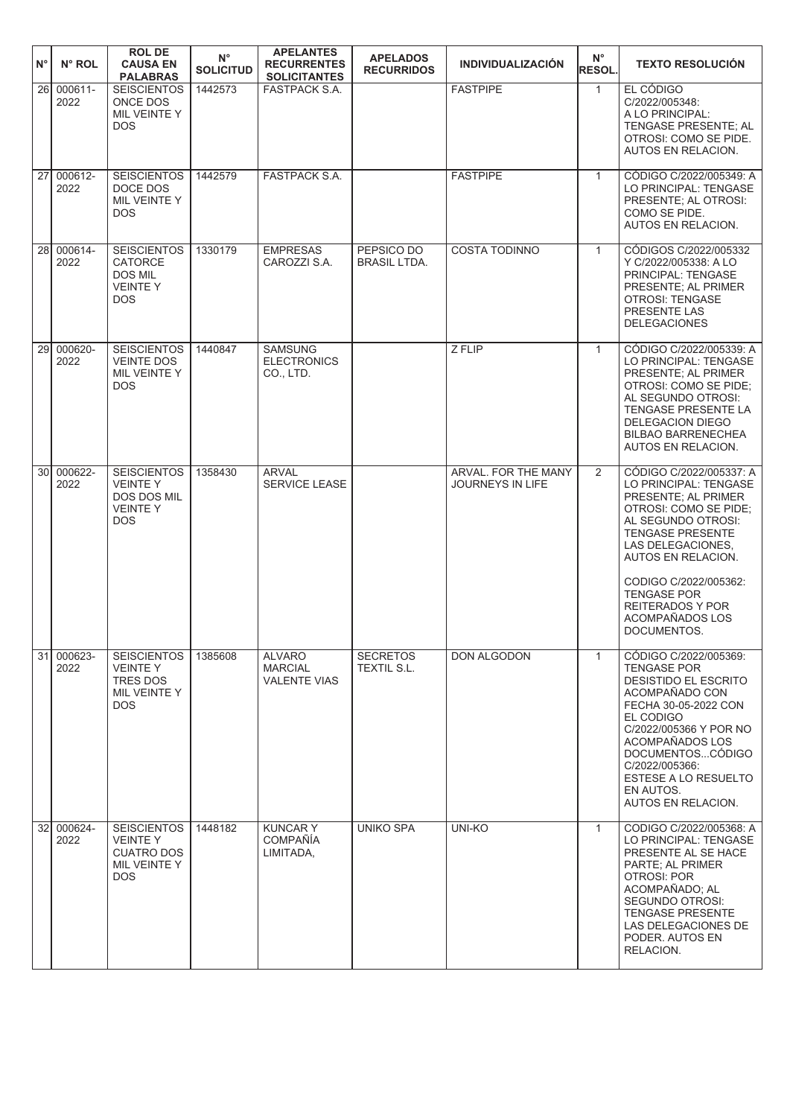| $N^{\circ}$<br>$N^{\circ}$ ROL     | <b>ROL DE</b><br><b>CAUSA EN</b><br><b>PALABRAS</b>                                    | $N^{\circ}$<br><b>SOLICITUD</b> | <b>APELANTES</b><br><b>RECURRENTES</b><br><b>SOLICITANTES</b> | <b>APELADOS</b><br><b>RECURRIDOS</b> | <b>INDIVIDUALIZACIÓN</b>                       | $N^{\circ}$<br><b>RESOL.</b> | <b>TEXTO RESOLUCIÓN</b>                                                                                                                                                                                                                                                                           |
|------------------------------------|----------------------------------------------------------------------------------------|---------------------------------|---------------------------------------------------------------|--------------------------------------|------------------------------------------------|------------------------------|---------------------------------------------------------------------------------------------------------------------------------------------------------------------------------------------------------------------------------------------------------------------------------------------------|
| 000611-<br><b>26</b><br>2022       | <b>SEISCIENTOS</b><br>ONCE DOS<br>MIL VEINTE Y<br><b>DOS</b>                           | 1442573                         | <b>FASTPACK S.A.</b>                                          |                                      | <b>FASTPIPE</b>                                | $\mathbf{1}$                 | EL CÓDIGO<br>C/2022/005348:<br>A LO PRINCIPAL:<br>TENGASE PRESENTE; AL<br>OTROSI: COMO SE PIDE.<br>AUTOS EN RELACION.                                                                                                                                                                             |
| 27<br>000612-<br>2022              | <b>SEISCIENTOS</b><br>DOCE DOS<br>MIL VEINTE Y<br><b>DOS</b>                           | 1442579                         | <b>FASTPACK S.A.</b>                                          |                                      | <b>FASTPIPE</b>                                | $\mathbf{1}$                 | CÓDIGO C/2022/005349: A<br>LO PRINCIPAL: TENGASE<br>PRESENTE; AL OTROSI:<br>COMO SE PIDE.<br>AUTOS EN RELACION.                                                                                                                                                                                   |
| 28<br>000614-<br>2022              | <b>SEISCIENTOS</b><br><b>CATORCE</b><br><b>DOS MIL</b><br><b>VEINTEY</b><br><b>DOS</b> | 1330179                         | <b>EMPRESAS</b><br>CAROZZI S.A.                               | PEPSICO DO<br><b>BRASIL LTDA.</b>    | <b>COSTA TODINNO</b>                           | $\mathbf{1}$                 | CÓDIGOS C/2022/005332<br>Y C/2022/005338: A LO<br>PRINCIPAL: TENGASE<br>PRESENTE; AL PRIMER<br><b>OTROSI: TENGASE</b><br>PRESENTE LAS<br><b>DELEGACIONES</b>                                                                                                                                      |
| 000620-<br>29I<br>2022             | <b>SEISCIENTOS</b><br><b>VEINTE DOS</b><br>MIL VEINTE Y<br><b>DOS</b>                  | 1440847                         | <b>SAMSUNG</b><br><b>ELECTRONICS</b><br>CO., LTD.             |                                      | Z FLIP                                         | $\mathbf{1}$                 | CÓDIGO C/2022/005339: A<br>LO PRINCIPAL: TENGASE<br>PRESENTE; AL PRIMER<br>OTROSI: COMO SE PIDE;<br>AL SEGUNDO OTROSI:<br><b>TENGASE PRESENTE LA</b><br>DELEGACION DIEGO<br><b>BILBAO BARRENECHEA</b><br>AUTOS EN RELACION.                                                                       |
| 30 <sup>1</sup><br>000622-<br>2022 | <b>SEISCIENTOS</b><br><b>VEINTEY</b><br>DOS DOS MIL<br><b>VEINTEY</b><br>DOS           | 1358430                         | <b>ARVAL</b><br>SERVICE LEASE                                 |                                      | ARVAL. FOR THE MANY<br><b>JOURNEYS IN LIFE</b> | 2                            | CÓDIGO C/2022/005337: A<br>LO PRINCIPAL: TENGASE<br>PRESENTE; AL PRIMER<br>OTROSI: COMO SE PIDE;<br>AL SEGUNDO OTROSI:<br><b>TENGASE PRESENTE</b><br>LAS DELEGACIONES,<br>AUTOS EN RELACION.<br>CODIGO C/2022/005362:<br><b>TENGASE POR</b><br>REITERADOS Y POR<br>ACOMPAÑADOS LOS<br>DOCUMENTOS. |
| 31<br>000623-<br>2022              | <b>SEISCIENTOS</b><br><b>VEINTEY</b><br><b>TRES DOS</b><br>MIL VEINTE Y<br>DOS         | 1385608                         | <b>ALVARO</b><br><b>MARCIAL</b><br><b>VALENTE VIAS</b>        | <b>SECRETOS</b><br>TEXTIL S.L.       | DON ALGODON                                    | $\mathbf{1}$                 | CÓDIGO C/2022/005369:<br><b>TENGASE POR</b><br><b>DESISTIDO EL ESCRITO</b><br>ACOMPAÑADO CON<br>FECHA 30-05-2022 CON<br>EL CODIGO<br>C/2022/005366 Y POR NO<br>ACOMPAÑADOS LOS<br>DOCUMENTOSCÓDIGO<br>C/2022/005366:<br><b>ESTESE A LO RESUELTO</b><br>EN AUTOS.<br>AUTOS EN RELACION.            |
| 32<br>000624-<br>2022              | <b>SEISCIENTOS</b><br>VEINTE Y<br><b>CUATRO DOS</b><br>MIL VEINTE Y<br>DOS             | 1448182                         | <b>KUNCARY</b><br><b>COMPAÑÍA</b><br>LIMITADA,                | <b>UNIKO SPA</b>                     | UNI-KO                                         | $\mathbf{1}$                 | CODIGO C/2022/005368: A<br>LO PRINCIPAL: TENGASE<br>PRESENTE AL SE HACE<br>PARTE; AL PRIMER<br><b>OTROSI: POR</b><br>ACOMPAÑADO; AL<br>SEGUNDO OTROSI:<br><b>TENGASE PRESENTE</b><br>LAS DELEGACIONES DE<br>PODER. AUTOS EN<br>RELACION.                                                          |